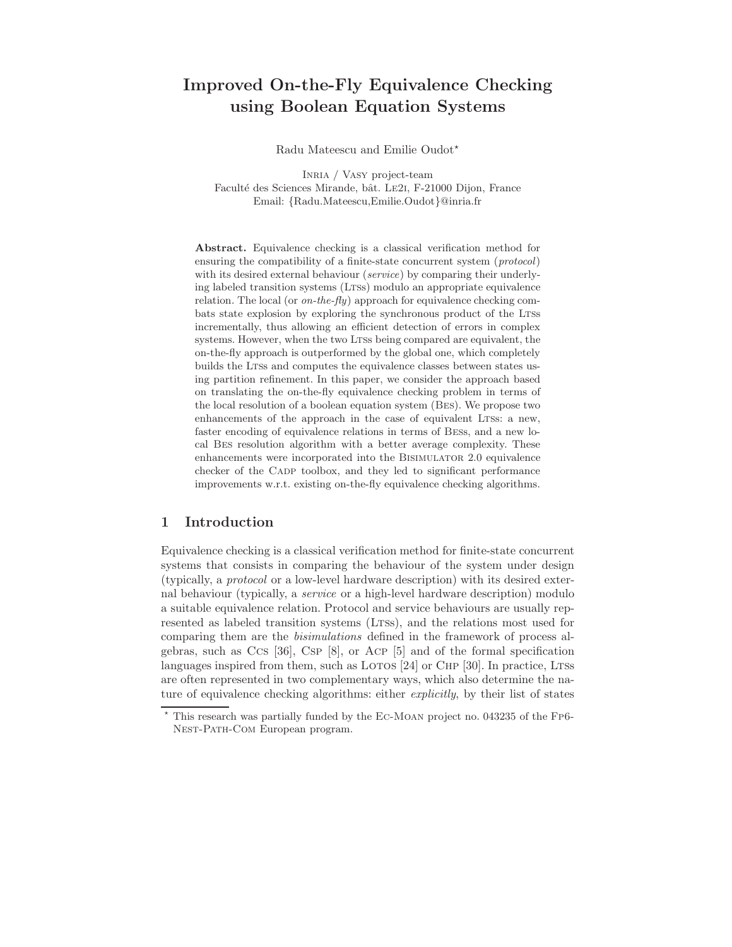# **Improved On-the-Fly Equivalence Checking using Boolean Equation Systems**

Radu Mateescu and Emilie Oudot<sup>\*</sup>

Inria / Vasy project-team Faculté des Sciences Mirande, bât. LE2I, F-21000 Dijon, France Email: {Radu.Mateescu,Emilie.Oudot}@inria.fr

**Abstract.** Equivalence checking is a classical verification method for ensuring the compatibility of a finite-state concurrent system (*protocol*) with its desired external behaviour (*service*) by comparing their underlying labeled transition systems (LTSs) modulo an appropriate equivalence relation. The local (or *on-the-fly*) approach for equivalence checking combats state explosion by exploring the synchronous product of the Ltss incrementally, thus allowing an efficient detection of errors in complex systems. However, when the two LTSs being compared are equivalent, the on-the-fly approach is outperformed by the global one, which completely builds the LTSs and computes the equivalence classes between states using partition refinement. In this paper, we consider the approach based on translating the on-the-fly equivalence checking problem in terms of the local resolution of a boolean equation system (Bes). We propose two enhancements of the approach in the case of equivalent LTSs: a new, faster encoding of equivalence relations in terms of Bess, and a new local Bes resolution algorithm with a better average complexity. These enhancements were incorporated into the BISIMULATOR 2.0 equivalence checker of the CADP toolbox, and they led to significant performance improvements w.r.t. existing on-the-fly equivalence checking algorithms.

## **1 Introduction**

Equivalence checking is a classical verification method for finite-state concurrent systems that consists in comparing the behaviour of the system under design (typically, a *protocol* or a low-level hardware description) with its desired external behaviour (typically, a *service* or a high-level hardware description) modulo a suitable equivalence relation. Protocol and service behaviours are usually represented as labeled transition systems (LTSs), and the relations most used for comparing them are the *bisimulations* defined in the framework of process algebras, such as Ccs [36], Csp [8], or Acp [5] and of the formal specification languages inspired from them, such as LOTOS  $[24]$  or CHP  $[30]$ . In practice, LTSs are often represented in two complementary ways, which also determine the nature of equivalence checking algorithms: either *explicitly*, by their list of states

 $\star$  This research was partially funded by the Ec-Moan project no. 043235 of the Fp6- Nest-Path-Com European program.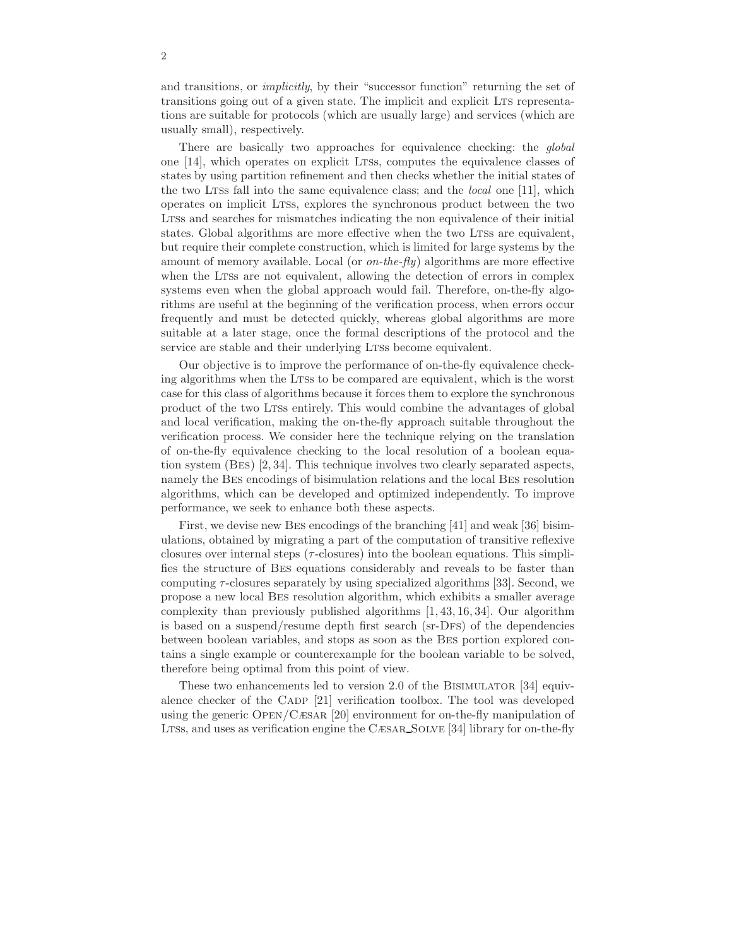and transitions, or *implicitly*, by their "successor function" returning the set of transitions going out of a given state. The implicit and explicit Lts representations are suitable for protocols (which are usually large) and services (which are usually small), respectively.

There are basically two approaches for equivalence checking: the *global* one [14], which operates on explicit Ltss, computes the equivalence classes of states by using partition refinement and then checks whether the initial states of the two LTSs fall into the same equivalence class; and the *local* one [11], which operates on implicit Ltss, explores the synchronous product between the two Ltss and searches for mismatches indicating the non equivalence of their initial states. Global algorithms are more effective when the two LTSs are equivalent, but require their complete construction, which is limited for large systems by the amount of memory available. Local (or *on-the-fly*) algorithms are more effective when the LTSs are not equivalent, allowing the detection of errors in complex systems even when the global approach would fail. Therefore, on-the-fly algorithms are useful at the beginning of the verification process, when errors occur frequently and must be detected quickly, whereas global algorithms are more suitable at a later stage, once the formal descriptions of the protocol and the service are stable and their underlying LTSs become equivalent.

Our objective is to improve the performance of on-the-fly equivalence checking algorithms when the Ltss to be compared are equivalent, which is the worst case for this class of algorithms because it forces them to explore the synchronous product of the two Ltss entirely. This would combine the advantages of global and local verification, making the on-the-fly approach suitable throughout the verification process. We consider here the technique relying on the translation of on-the-fly equivalence checking to the local resolution of a boolean equation system (Bes) [2, 34]. This technique involves two clearly separated aspects, namely the Bes encodings of bisimulation relations and the local Bes resolution algorithms, which can be developed and optimized independently. To improve performance, we seek to enhance both these aspects.

First, we devise new Bes encodings of the branching [41] and weak [36] bisimulations, obtained by migrating a part of the computation of transitive reflexive closures over internal steps  $(\tau$ -closures) into the boolean equations. This simplifies the structure of Bes equations considerably and reveals to be faster than computing  $\tau$ -closures separately by using specialized algorithms [33]. Second, we propose a new local Bes resolution algorithm, which exhibits a smaller average complexity than previously published algorithms [1, 43, 16, 34]. Our algorithm is based on a suspend/resume depth first search (sr-DFS) of the dependencies between boolean variables, and stops as soon as the Bes portion explored contains a single example or counterexample for the boolean variable to be solved, therefore being optimal from this point of view.

These two enhancements led to version 2.0 of the BISIMULATOR [34] equivalence checker of the CADP  $[21]$  verification toolbox. The tool was developed using the generic Open/Cæsar [20] environment for on-the-fly manipulation of LTSs, and uses as verification engine the CÆSAR\_SOLVE [34] library for on-the-fly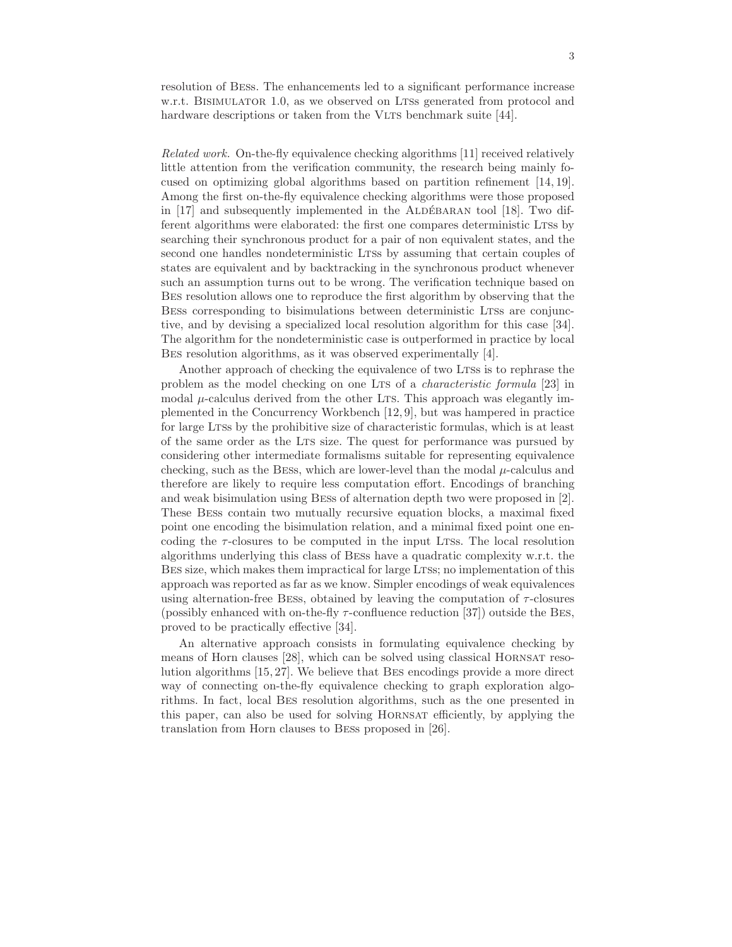resolution of Bess. The enhancements led to a significant performance increase w.r.t. BISIMULATOR 1.0, as we observed on LTSs generated from protocol and hardware descriptions or taken from the VLTS benchmark suite [44].

*Related work.* On-the-fly equivalence checking algorithms [11] received relatively little attention from the verification community, the research being mainly focused on optimizing global algorithms based on partition refinement [14, 19]. Among the first on-the-fly equivalence checking algorithms were those proposed in [17] and subsequently implemented in the ALDÉBARAN tool [18]. Two different algorithms were elaborated: the first one compares deterministic LTSs by searching their synchronous product for a pair of non equivalent states, and the second one handles nondeterministic LTSs by assuming that certain couples of states are equivalent and by backtracking in the synchronous product whenever such an assumption turns out to be wrong. The verification technique based on Bes resolution allows one to reproduce the first algorithm by observing that the BESS corresponding to bisimulations between deterministic LTSs are conjunctive, and by devising a specialized local resolution algorithm for this case [34]. The algorithm for the nondeterministic case is outperformed in practice by local Bes resolution algorithms, as it was observed experimentally [4].

Another approach of checking the equivalence of two LTSs is to rephrase the problem as the model checking on one Lts of a *characteristic formula* [23] in modal  $\mu$ -calculus derived from the other LTs. This approach was elegantly implemented in the Concurrency Workbench [12, 9], but was hampered in practice for large LTSs by the prohibitive size of characteristic formulas, which is at least of the same order as the Lts size. The quest for performance was pursued by considering other intermediate formalisms suitable for representing equivalence checking, such as the BESS, which are lower-level than the modal  $\mu$ -calculus and therefore are likely to require less computation effort. Encodings of branching and weak bisimulation using Bess of alternation depth two were proposed in [2]. These Bess contain two mutually recursive equation blocks, a maximal fixed point one encoding the bisimulation relation, and a minimal fixed point one encoding the  $\tau$ -closures to be computed in the input LTSs. The local resolution algorithms underlying this class of Bess have a quadratic complexity w.r.t. the BES size, which makes them impractical for large LTSs; no implementation of this approach was reported as far as we know. Simpler encodings of weak equivalences using alternation-free BESS, obtained by leaving the computation of  $\tau$ -closures (possibly enhanced with on-the-fly  $\tau$ -confluence reduction [37]) outside the BEs, proved to be practically effective [34].

An alternative approach consists in formulating equivalence checking by means of Horn clauses [28], which can be solved using classical Hornsat resolution algorithms [15, 27]. We believe that Bes encodings provide a more direct way of connecting on-the-fly equivalence checking to graph exploration algorithms. In fact, local Bes resolution algorithms, such as the one presented in this paper, can also be used for solving Hornsat efficiently, by applying the translation from Horn clauses to Bess proposed in [26].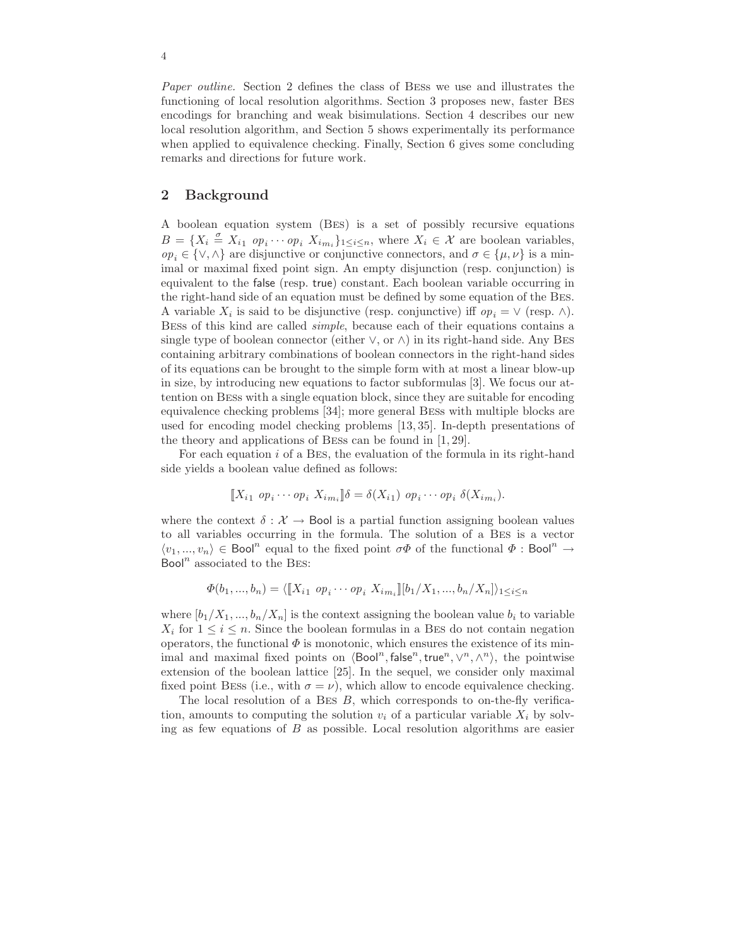*Paper outline.* Section 2 defines the class of Bess we use and illustrates the functioning of local resolution algorithms. Section 3 proposes new, faster Bes encodings for branching and weak bisimulations. Section 4 describes our new local resolution algorithm, and Section 5 shows experimentally its performance when applied to equivalence checking. Finally, Section 6 gives some concluding remarks and directions for future work.

### **2 Background**

A boolean equation system (Bes) is a set of possibly recursive equations  $B = \{X_i \stackrel{\sigma}{=} X_{i1}$  *op*<sub>i</sub>  $\cdots$  *op*<sub>i</sub>  $X_{im_i}\}_{1 \leq i \leq n}$ , where  $X_i \in \mathcal{X}$  are boolean variables,  $op_i \in {\vee, \wedge}$  are disjunctive or conjunctive connectors, and  $\sigma \in {\{\mu, \nu\}}$  is a minimal or maximal fixed point sign. An empty disjunction (resp. conjunction) is equivalent to the false (resp. true) constant. Each boolean variable occurring in the right-hand side of an equation must be defined by some equation of the Bes. A variable  $X_i$  is said to be disjunctive (resp. conjunctive) iff  $op_i = \vee$  (resp.  $\wedge$ ). Bess of this kind are called *simple*, because each of their equations contains a single type of boolean connector (either  $\vee$ , or  $\wedge$ ) in its right-hand side. Any BES containing arbitrary combinations of boolean connectors in the right-hand sides of its equations can be brought to the simple form with at most a linear blow-up in size, by introducing new equations to factor subformulas [3]. We focus our attention on Bess with a single equation block, since they are suitable for encoding equivalence checking problems [34]; more general Bess with multiple blocks are used for encoding model checking problems [13, 35]. In-depth presentations of the theory and applications of Bess can be found in [1, 29].

For each equation  $i$  of a BES, the evaluation of the formula in its right-hand side yields a boolean value defined as follows:

$$
[\![X_{i1}\;\; op_i\cdots op_i\;X_{i m_i}]\!] \delta = \delta(X_{i1})\;\; op_i\cdots op_i\;\delta(X_{i m_i}).
$$

where the context  $\delta : \mathcal{X} \to \mathsf{Bool}$  is a partial function assigning boolean values to all variables occurring in the formula. The solution of a Bes is a vector  $\langle v_1, ..., v_n \rangle \in \text{Bool}^n$  equal to the fixed point  $\sigma \Phi$  of the functional  $\Phi : \text{Bool}^n \to$ Bool<sup>n</sup> associated to the BES:

$$
\Phi(b_1, ..., b_n) = \langle [X_{i1} \text{ op}_i \cdots \text{ op}_i \ X_{i m_i}][b_1/X_1, ..., b_n/X_n] \rangle_{1 \leq i \leq n}
$$

where  $[b_1/X_1, ..., b_n/X_n]$  is the context assigning the boolean value  $b_i$  to variable  $X_i$  for  $1 \leq i \leq n$ . Since the boolean formulas in a BES do not contain negation operators, the functional  $\Phi$  is monotonic, which ensures the existence of its minimal and maximal fixed points on  $\langle \text{Bool}^n, \text{false}^n, \text{true}^n, \vee^n, \wedge^n \rangle$ , the pointwise extension of the boolean lattice [25]. In the sequel, we consider only maximal fixed point BESS (i.e., with  $\sigma = \nu$ ), which allow to encode equivalence checking.

The local resolution of a Bes B, which corresponds to on-the-fly verification, amounts to computing the solution  $v_i$  of a particular variable  $X_i$  by solving as few equations of  $B$  as possible. Local resolution algorithms are easier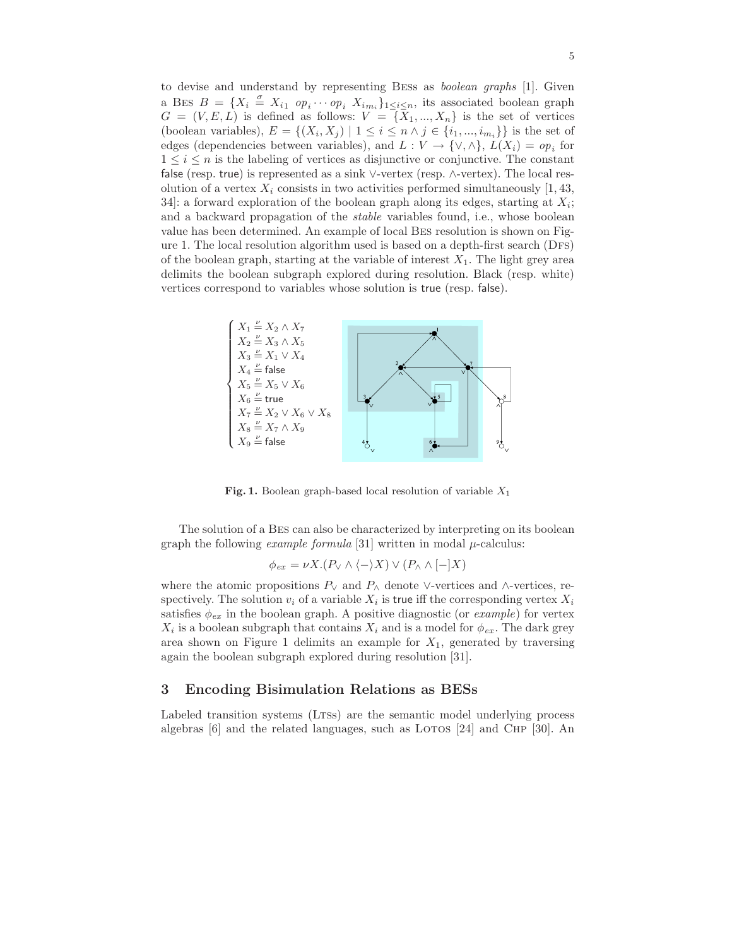to devise and understand by representing Bess as *boolean graphs* [1]. Given a BES  $B = \{X_i \stackrel{\sigma}{=} X_{i1}$   $op_i \cdots op_i X_{im_i}\}_{1 \leq i \leq n}$ , its associated boolean graph  $G = (V, E, L)$  is defined as follows:  $V = \overline{\{X_1, ..., X_n\}}$  is the set of vertices (boolean variables),  $E = \{(X_i, X_j) | 1 \leq i \leq n \land j \in \{i_1, ..., i_{m_i}\}\}\$ is the set of edges (dependencies between variables), and  $L: V \to \{\vee, \wedge\}$ ,  $L(X_i) = op_i$  for  $1 \leq i \leq n$  is the labeling of vertices as disjunctive or conjunctive. The constant false (resp. true) is represented as a sink ∨-vertex (resp. ∧-vertex). The local resolution of a vertex  $X_i$  consists in two activities performed simultaneously [1, 43, 34]: a forward exploration of the boolean graph along its edges, starting at  $X_i$ ; and a backward propagation of the *stable* variables found, i.e., whose boolean value has been determined. An example of local Bes resolution is shown on Figure 1. The local resolution algorithm used is based on a depth-first search (Dfs) of the boolean graph, starting at the variable of interest  $X_1$ . The light grey area delimits the boolean subgraph explored during resolution. Black (resp. white) vertices correspond to variables whose solution is true (resp. false).



**Fig. 1.** Boolean graph-based local resolution of variable  $X_1$ 

The solution of a Bes can also be characterized by interpreting on its boolean graph the following *example formula* [31] written in modal  $\mu$ -calculus:

$$
\phi_{ex} = \nu X . (P_{\vee} \wedge \langle - \rangle X) \vee (P_{\wedge} \wedge [-]X)
$$

where the atomic propositions  $P_{\vee}$  and  $P_{\wedge}$  denote ∨-vertices and ∧-vertices, respectively. The solution  $v_i$  of a variable  $X_i$  is true iff the corresponding vertex  $X_i$ satisfies  $\phi_{ex}$  in the boolean graph. A positive diagnostic (or *example*) for vertex  $X_i$  is a boolean subgraph that contains  $X_i$  and is a model for  $\phi_{ex}$ . The dark grey area shown on Figure 1 delimits an example for  $X_1$ , generated by traversing again the boolean subgraph explored during resolution [31].

## **3 Encoding Bisimulation Relations as BESs**

Labeled transition systems (LTSs) are the semantic model underlying process algebras  $[6]$  and the related languages, such as LOTOS  $[24]$  and CHP  $[30]$ . An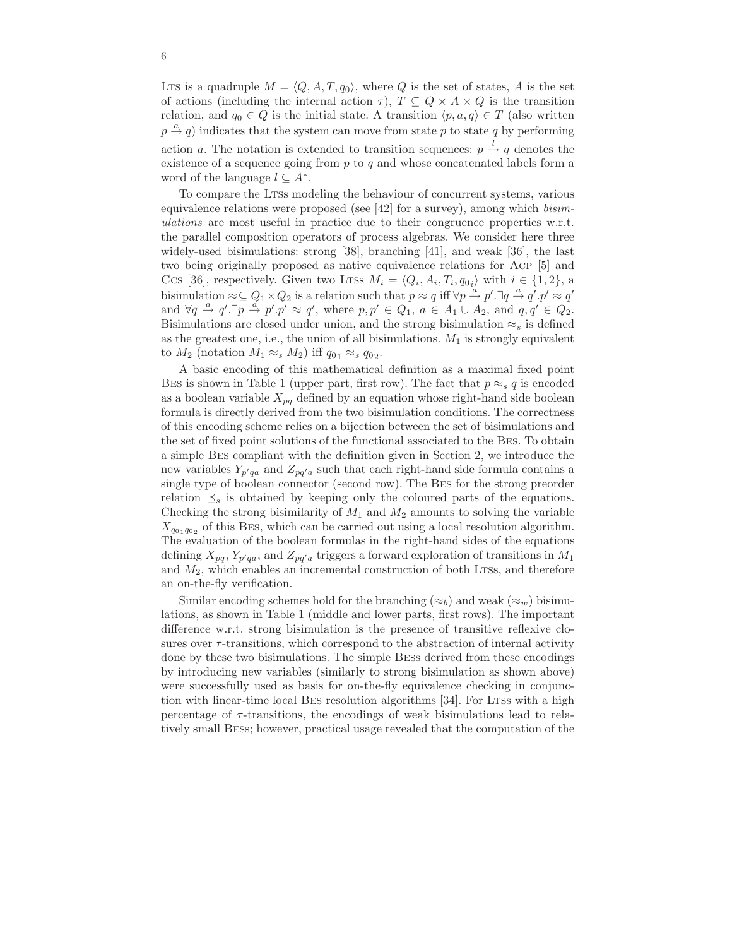LTS is a quadruple  $M = \langle Q, A, T, q_0 \rangle$ , where Q is the set of states, A is the set of actions (including the internal action  $\tau$ ),  $T \subseteq Q \times A \times Q$  is the transition relation, and  $q_0 \in Q$  is the initial state. A transition  $\langle p, a, q \rangle \in T$  (also written  $p \stackrel{a}{\rightarrow} q$ ) indicates that the system can move from state p to state q by performing action a. The notation is extended to transition sequences:  $p \stackrel{l}{\rightarrow} q$  denotes the existence of a sequence going from  $p$  to  $q$  and whose concatenated labels form a word of the language  $l \subseteq A^*$ .

To compare the Ltss modeling the behaviour of concurrent systems, various equivalence relations were proposed (see [42] for a survey), among which *bisimulations* are most useful in practice due to their congruence properties w.r.t. the parallel composition operators of process algebras. We consider here three widely-used bisimulations: strong [38], branching [41], and weak [36], the last two being originally proposed as native equivalence relations for Acp [5] and Ccs [36], respectively. Given two Lrss  $M_i = \langle Q_i, A_i, T_i, q_{0i} \rangle$  with  $i \in \{1, 2\}$ , a bisimulation  $\approx \subseteq Q_1 \times Q_2$  is a relation such that  $p \approx q$  iff  $\forall p \stackrel{a}{\rightarrow} p' \exists q \stackrel{a}{\rightarrow} q' \cdot p' \approx q'$ and  $\forall q \stackrel{a}{\rightarrow} q'.\exists p \stackrel{a}{\rightarrow} p'.p' \approx q',$  where  $p, p' \in Q_1$ ,  $a \in A_1 \cup A_2$ , and  $q, q' \in Q_2$ . Bisimulations are closed under union, and the strong bisimulation  $\approx_s$  is defined as the greatest one, i.e., the union of all bisimulations.  $M_1$  is strongly equivalent to  $M_2$  (notation  $M_1 \approx_s M_2$ ) iff  $q_{01} \approx_s q_{02}$ .

A basic encoding of this mathematical definition as a maximal fixed point BES is shown in Table 1 (upper part, first row). The fact that  $p \approx_s q$  is encoded as a boolean variable  $X_{pq}$  defined by an equation whose right-hand side boolean formula is directly derived from the two bisimulation conditions. The correctness of this encoding scheme relies on a bijection between the set of bisimulations and the set of fixed point solutions of the functional associated to the Bes. To obtain a simple Bes compliant with the definition given in Section 2, we introduce the new variables  $Y_{p'qa}$  and  $Z_{pq'a}$  such that each right-hand side formula contains a single type of boolean connector (second row). The Bes for the strong preorder relation  $\preceq_s$  is obtained by keeping only the coloured parts of the equations. Checking the strong bisimilarity of  $M_1$  and  $M_2$  amounts to solving the variable  $X_{q_{01}q_{02}}$  of this BES, which can be carried out using a local resolution algorithm. The evaluation of the boolean formulas in the right-hand sides of the equations defining  $X_{pq}$ ,  $Y_{p'qa}$ , and  $Z_{pq'a}$  triggers a forward exploration of transitions in  $M_1$ and  $M_2$ , which enables an incremental construction of both LTSs, and therefore an on-the-fly verification.

Similar encoding schemes hold for the branching  $(\approx_b)$  and weak  $(\approx_w)$  bisimulations, as shown in Table 1 (middle and lower parts, first rows). The important difference w.r.t. strong bisimulation is the presence of transitive reflexive closures over  $\tau$ -transitions, which correspond to the abstraction of internal activity done by these two bisimulations. The simple Bess derived from these encodings by introducing new variables (similarly to strong bisimulation as shown above) were successfully used as basis for on-the-fly equivalence checking in conjunction with linear-time local BES resolution algorithms [34]. For LTSs with a high percentage of  $\tau$ -transitions, the encodings of weak bisimulations lead to relatively small Bess; however, practical usage revealed that the computation of the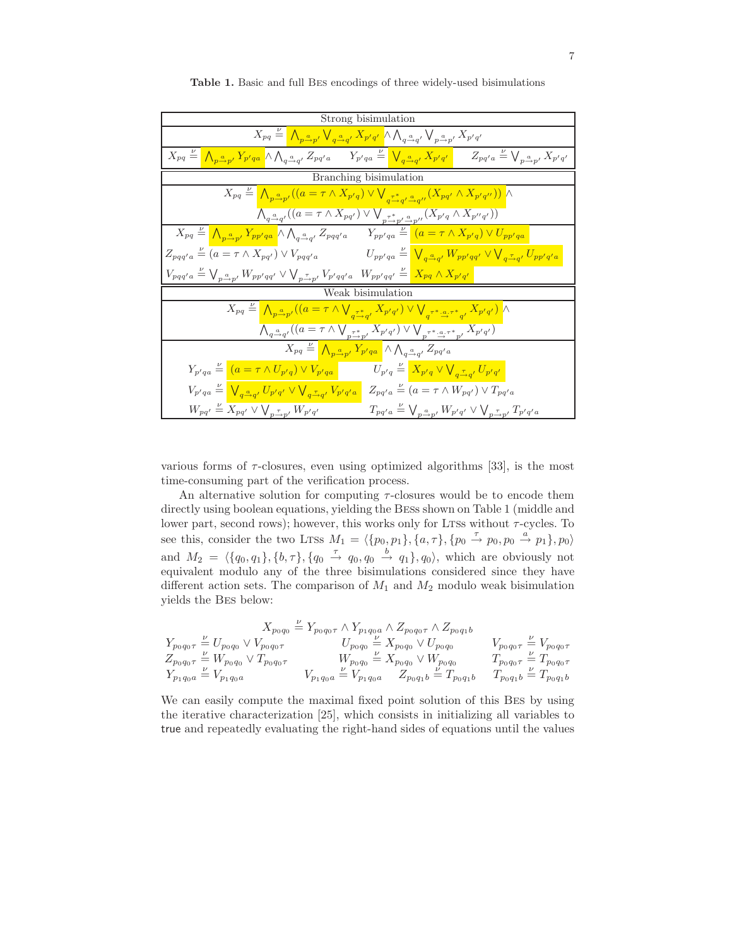| Strong bisimulation                                                                                                                                                                                                                                                                        |  |  |  |  |  |  |
|--------------------------------------------------------------------------------------------------------------------------------------------------------------------------------------------------------------------------------------------------------------------------------------------|--|--|--|--|--|--|
| $X_{pq} \stackrel{\nu}{=} \bigwedge_{p \stackrel{a}{\rightarrow} p'} \bigvee_{q \stackrel{a}{\rightarrow} q'} X_{p'q'} \wedge \bigwedge_{q \stackrel{a}{\rightarrow} q'} \bigvee_{p \stackrel{a}{\rightarrow} p'} X_{p'q'}$                                                                |  |  |  |  |  |  |
| $X_{pq} \stackrel{\nu}{=} \bigwedge_{p \stackrel{a}{\to} p'} Y_{p'qa} \bigwedge \bigwedge_{q \stackrel{a}{\to} q'} Z_{pq'a} \qquad Y_{p'qa} \stackrel{\nu}{=} \bigvee_{q \stackrel{a}{\to} q'} X_{p'q'} \bigvee \bigvee_{p'a} \stackrel{\nu}{=} \bigvee_{p \stackrel{a}{\to} p'} X_{p'q'}$ |  |  |  |  |  |  |
| Branching bisimulation                                                                                                                                                                                                                                                                     |  |  |  |  |  |  |
| $X_{pq} \stackrel{\nu}{=} \bigwedge_{p \stackrel{a}{\to} p'} ((a = \tau \wedge X_{p'q}) \vee \bigvee_{\substack{\sigma \stackrel{\ast}{\to} q' \stackrel{a}{\to} q''}} (X_{pq'} \wedge X_{p'q''})) \wedge$                                                                                 |  |  |  |  |  |  |
| $\bigwedge\nolimits_{q\stackrel{a}{\rightarrow}q'}\!\big((a=\tau\wedge X_{pq'})\vee\bigvee\nolimits_{p\stackrel{\tau^*}{\rightarrow}p'}\!\frac{a}{\rightarrow}p''\big(\overline{X_{p'q}\wedge X_{p''q'}}\big)\big)$                                                                        |  |  |  |  |  |  |
| $X_{pq} \stackrel{\nu}{=} \bigwedge_{p \stackrel{a}{\rightarrow} p'} Y_{pp'qa} \wedge \bigwedge_{q \stackrel{a}{\rightarrow} q'} Z_{pqq'a} \qquad Y_{pp'qa} \stackrel{\nu}{=} \bigl(a = \tau \wedge X_{p'q} \bigr) \vee U_{pp'qa}$                                                         |  |  |  |  |  |  |
| $U_{pp'qa} \stackrel{\nu}{=} \bigvee_{q \stackrel{a}{\rightarrow} q'} W_{pp'qq'} \vee \bigvee_{q \stackrel{\tau}{\rightarrow} q'} U_{pp'q'a}$<br>$Z_{pqq'a} \stackrel{\nu}{=} (a = \tau \wedge X_{pq'}) \vee V_{pqq'a}$                                                                    |  |  |  |  |  |  |
| $V_{pqq'a} \stackrel{\nu}{=} \bigvee_{p \stackrel{\alpha}{\to} p'} W_{pp'qq'} \vee \bigvee_{p \stackrel{\tau}{\to} p'} V_{p'qq'a} \quad W_{pp'qq'} \stackrel{\nu}{=} \frac{X_{pq} \wedge X_{p'q'}}{X_{pq}}$                                                                                |  |  |  |  |  |  |
| Weak bisimulation                                                                                                                                                                                                                                                                          |  |  |  |  |  |  |
| $X_{pq} \stackrel{\nu}{=} \bigwedge_{p \stackrel{a}{\rightarrow} p'} ((a = \tau \wedge \bigvee_{q \stackrel{\tau}{\rightarrow} q'} X_{p'q'}) \vee \bigvee_{q} \tau^* \stackrel{a}{\rightarrow} \tau^*_{q'} X_{p'q'}) \wedge$                                                               |  |  |  |  |  |  |
| $\bigwedge\nolimits_{q\stackrel{a}{\rightarrow} q'}((a=\tau\wedge\bigvee_{p\stackrel{\tau^*}{\rightarrow} p'}X_{p'q'})\vee\bigvee_{p^{\tau^*\cdot a,\tau^*}p'}X_{p'q'})$                                                                                                                   |  |  |  |  |  |  |
| $\overline{X_{pq}\overset{\nu}{=}\bigwedge_{p\overset{a}{\to}p'}Y_{p'qa}}\wedge \bigwedge_{q\overset{a}{\to}q'}Z_{pq'a}$                                                                                                                                                                   |  |  |  |  |  |  |
| $Y_{p'qa} \stackrel{\nu}{=} (a = \tau \wedge U_{p'q}) \vee V_{p'qa}$ $U_{p'q} \stackrel{\nu}{=} X_{p'q} \vee \bigvee_{q \stackrel{\tau}{\rightarrow} q'} U_{p'q'}$                                                                                                                         |  |  |  |  |  |  |
| $V_{p'qa} \stackrel{\nu}{=} \bigvee_{q \stackrel{a}{\rightarrow} q'} U_{p'q'} \vee \bigvee_{q \stackrel{\tau}{\rightarrow} q'} V_{p'q'a} \bigwedge Z_{pq'a} \stackrel{\nu}{=} (a = \tau \wedge W_{pq'}) \vee T_{pq'a}$                                                                     |  |  |  |  |  |  |
| $W_{pq'} \stackrel{\nu}{=} X_{pq'} \vee \bigvee_{p \stackrel{\tau}{\rightarrow} p'} W_{p'q'}$<br>$T_{pq'a} \stackrel{\nu}{=} \bigvee_{p \stackrel{a}{\rightarrow} p'} W_{p'q'} \vee \bigvee_{p \stackrel{\tau}{\rightarrow} p'} T_{p'q'a}$                                                 |  |  |  |  |  |  |

**Table 1.** Basic and full Bes encodings of three widely-used bisimulations

various forms of  $\tau$ -closures, even using optimized algorithms [33], is the most time-consuming part of the verification process.

An alternative solution for computing  $\tau$ -closures would be to encode them directly using boolean equations, yielding the Bess shown on Table 1 (middle and lower part, second rows); however, this works only for LTSs without  $\tau$ -cycles. To see this, consider the two LTSs  $M_1 = \langle \{p_0, p_1\}, \{a, \tau\}, \{p_0 \stackrel{\tau}{\rightarrow} p_0, p_0 \stackrel{a}{\rightarrow} p_1\}, p_0 \rangle$ and  $M_2 = \langle \{q_0, q_1\}, \{b, \tau\}, \{q_0 \stackrel{\tau}{\rightarrow} q_0, q_0 \stackrel{b}{\rightarrow} q_1\}, q_0 \rangle$ , which are obviously not equivalent modulo any of the three bisimulations considered since they have different action sets. The comparison of  $M_1$  and  $M_2$  modulo weak bisimulation yields the Bes below:

$$
\begin{array}{ccccc}&&X_{p_{0}q_{0}}\overset{\nu}{=}Y_{p_{0}q_{0}\tau}\wedge Y_{p_{1}q_{0}a}\wedge Z_{p_{0}q_{0}\tau}\wedge Z_{p_{0}q_{1}b} \\ Y_{p_{0}q_{0}}\overset{\nu}{=}U_{p_{0}q_{0}}\vee V_{p_{0}q_{0}\tau} &U_{p_{0}q_{0}}\overset{\nu}{=}X_{p_{0}q_{0}}\vee U_{p_{0}q_{0}} &V_{p_{0}q_{0}\tau}\overset{\nu}{=}V_{p_{0}q_{0}\tau} \\ Z_{p_{0}q_{0}\tau}\overset{\nu}{=}W_{p_{0}q_{0}}\vee T_{p_{0}q_{0}\tau} &W_{p_{0}q_{0}}\overset{\nu}{=}X_{p_{0}q_{0}}\vee W_{p_{0}q_{0}} &T_{p_{0}q_{0}\tau}\overset{\nu}{=}T_{p_{0}q_{0}\tau} \\ Y_{p_{1}q_{0}a}\overset{\nu}{=}V_{p_{1}q_{0}a} &V_{p_{1}q_{0}a}\overset{\nu}{=}V_{p_{1}q_{0}a} &Z_{p_{0}q_{1}b}\overset{\nu}{=}T_{p_{0}q_{1}b} &T_{p_{0}q_{1}b}\overset{\nu}{=}T_{p_{0}q_{1}b} \end{array}
$$

We can easily compute the maximal fixed point solution of this Bes by using the iterative characterization [25], which consists in initializing all variables to true and repeatedly evaluating the right-hand sides of equations until the values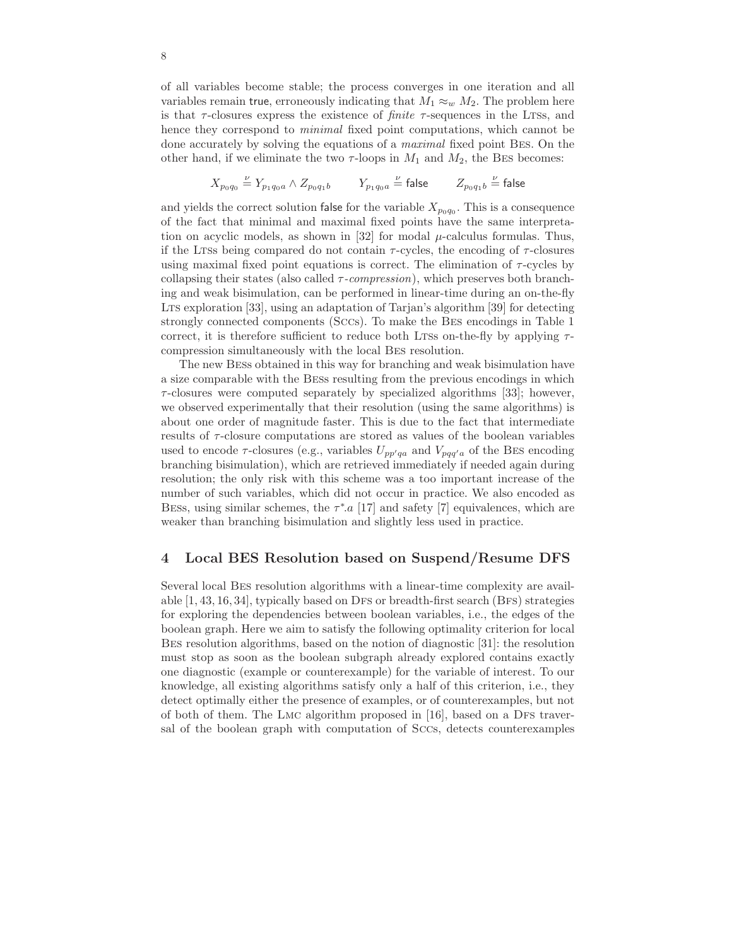of all variables become stable; the process converges in one iteration and all variables remain true, erroneously indicating that  $M_1 \approx_w M_2$ . The problem here is that τ-closures express the existence of *finite* τ-sequences in the Ltss, and hence they correspond to *minimal* fixed point computations, which cannot be done accurately by solving the equations of a *maximal* fixed point Bes. On the other hand, if we eliminate the two  $\tau$ -loops in  $M_1$  and  $M_2$ , the BES becomes:

$$
X_{p_0q_0}\stackrel{\nu}{=}Y_{p_1q_0a}\wedge Z_{p_0q_1b}\qquad \ \ Y_{p_1q_0a}\stackrel{\nu}{=} \text{false}\qquad \ \ Z_{p_0q_1b}\stackrel{\nu}{=} \text{false}
$$

and yields the correct solution false for the variable  $X_{p_0q_0}$ . This is a consequence of the fact that minimal and maximal fixed points have the same interpretation on acyclic models, as shown in [32] for modal  $\mu$ -calculus formulas. Thus, if the LTSs being compared do not contain  $\tau$ -cycles, the encoding of  $\tau$ -closures using maximal fixed point equations is correct. The elimination of  $\tau$ -cycles by collapsing their states (also called τ*-compression*), which preserves both branching and weak bisimulation, can be performed in linear-time during an on-the-fly LTS exploration [33], using an adaptation of Tarjan's algorithm [39] for detecting strongly connected components (Sccs). To make the Bes encodings in Table 1 correct, it is therefore sufficient to reduce both LTSs on-the-fly by applying  $\tau$ compression simultaneously with the local Bes resolution.

The new Bess obtained in this way for branching and weak bisimulation have a size comparable with the Bess resulting from the previous encodings in which  $\tau$ -closures were computed separately by specialized algorithms [33]; however, we observed experimentally that their resolution (using the same algorithms) is about one order of magnitude faster. This is due to the fact that intermediate results of  $\tau$ -closure computations are stored as values of the boolean variables used to encode  $\tau$ -closures (e.g., variables  $U_{pp'qa}$  and  $V_{pqq'a}$  of the BES encoding branching bisimulation), which are retrieved immediately if needed again during resolution; the only risk with this scheme was a too important increase of the number of such variables, which did not occur in practice. We also encoded as BESS, using similar schemes, the  $\tau^*$  a [17] and safety [7] equivalences, which are weaker than branching bisimulation and slightly less used in practice.

#### **4 Local BES Resolution based on Suspend/Resume DFS**

Several local Bes resolution algorithms with a linear-time complexity are available  $[1, 43, 16, 34]$ , typically based on DFs or breadth-first search (BFs) strategies for exploring the dependencies between boolean variables, i.e., the edges of the boolean graph. Here we aim to satisfy the following optimality criterion for local Bes resolution algorithms, based on the notion of diagnostic [31]: the resolution must stop as soon as the boolean subgraph already explored contains exactly one diagnostic (example or counterexample) for the variable of interest. To our knowledge, all existing algorithms satisfy only a half of this criterion, i.e., they detect optimally either the presence of examples, or of counterexamples, but not of both of them. The LMC algorithm proposed in  $[16]$ , based on a DFS traversal of the boolean graph with computation of Sccs, detects counterexamples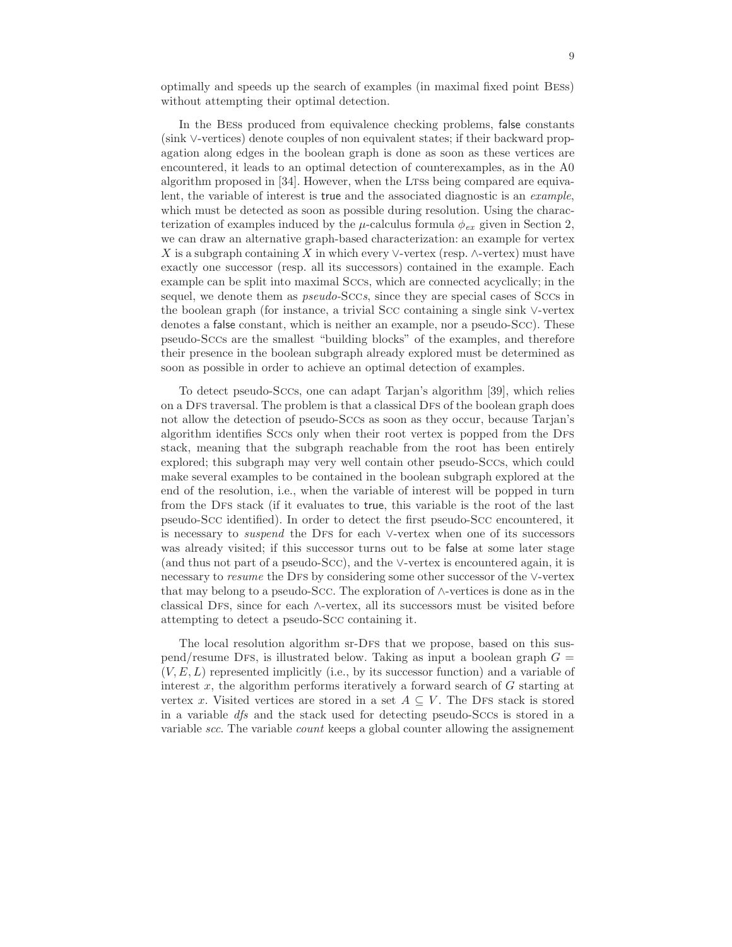optimally and speeds up the search of examples (in maximal fixed point Bess) without attempting their optimal detection.

In the Bess produced from equivalence checking problems, false constants (sink ∨-vertices) denote couples of non equivalent states; if their backward propagation along edges in the boolean graph is done as soon as these vertices are encountered, it leads to an optimal detection of counterexamples, as in the A0 algorithm proposed in [34]. However, when the LTSs being compared are equivalent, the variable of interest is true and the associated diagnostic is an *example*, which must be detected as soon as possible during resolution. Using the characterization of examples induced by the  $\mu$ -calculus formula  $\phi_{ex}$  given in Section 2, we can draw an alternative graph-based characterization: an example for vertex X is a subgraph containing X in which every  $\vee$ -vertex (resp.  $\wedge$ -vertex) must have exactly one successor (resp. all its successors) contained in the example. Each example can be split into maximal Sccs, which are connected acyclically; in the sequel, we denote them as *pseudo-*Scc*s*, since they are special cases of Sccs in the boolean graph (for instance, a trivial Scc containing a single sink ∨-vertex denotes a false constant, which is neither an example, nor a pseudo-Scc). These pseudo-Sccs are the smallest "building blocks" of the examples, and therefore their presence in the boolean subgraph already explored must be determined as soon as possible in order to achieve an optimal detection of examples.

To detect pseudo-Sccs, one can adapt Tarjan's algorithm [39], which relies on a DFS traversal. The problem is that a classical DFS of the boolean graph does not allow the detection of pseudo-Sccs as soon as they occur, because Tarjan's algorithm identifies Sccs only when their root vertex is popped from the DFS stack, meaning that the subgraph reachable from the root has been entirely explored; this subgraph may very well contain other pseudo-Sccs, which could make several examples to be contained in the boolean subgraph explored at the end of the resolution, i.e., when the variable of interest will be popped in turn from the Dfs stack (if it evaluates to true, this variable is the root of the last pseudo-Scc identified). In order to detect the first pseudo-Scc encountered, it is necessary to *suspend* the Dfs for each ∨-vertex when one of its successors was already visited; if this successor turns out to be false at some later stage (and thus not part of a pseudo-Scc), and the ∨-vertex is encountered again, it is necessary to *resume* the DFS by considering some other successor of the ∨-vertex that may belong to a pseudo-Scc. The exploration of ∧-vertices is done as in the classical DFs, since for each  $\wedge$ -vertex, all its successors must be visited before attempting to detect a pseudo-Scc containing it.

The local resolution algorithm sr-DFs that we propose, based on this suspend/resume DFs, is illustrated below. Taking as input a boolean graph  $G =$  $(V, E, L)$  represented implicitly (i.e., by its successor function) and a variable of interest x, the algorithm performs iteratively a forward search of  $G$  starting at vertex x. Visited vertices are stored in a set  $A \subseteq V$ . The DFS stack is stored in a variable *dfs* and the stack used for detecting pseudo-Sccs is stored in a variable *scc*. The variable *count* keeps a global counter allowing the assignement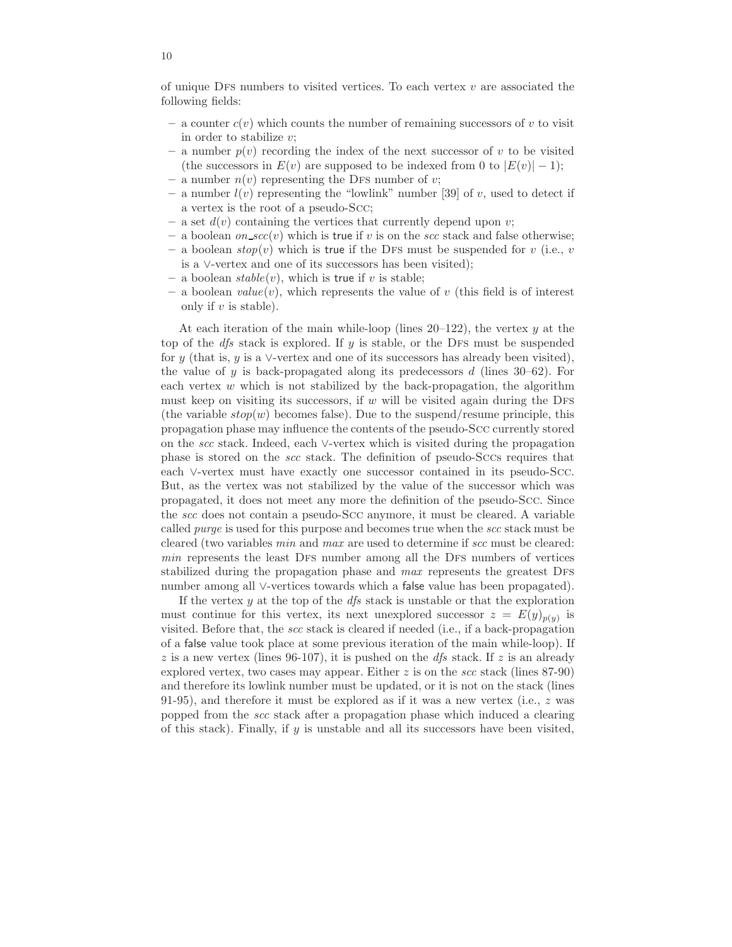of unique DFS numbers to visited vertices. To each vertex  $v$  are associated the following fields:

- $-$  a counter  $c(v)$  which counts the number of remaining successors of v to visit in order to stabilize v;
- a number  $p(v)$  recording the index of the next successor of v to be visited (the successors in  $E(v)$  are supposed to be indexed from 0 to  $|E(v)|-1$ );
- $-$  a number  $n(v)$  representing the DFS number of v;
- $-$  a number  $l(v)$  representing the "lowlink" number [39] of v, used to detect if a vertex is the root of a pseudo-Scc;
- $-$  a set  $d(v)$  containing the vertices that currently depend upon v;
- $-$  a boolean *on\_scc*(v) which is true if v is on the *scc* stack and false otherwise;
- $-$  a boolean  $stop(v)$  which is true if the DFS must be suspended for v (i.e., v is a ∨-vertex and one of its successors has been visited);
- **–** a boolean *stable*(v), which is true if <sup>v</sup> is stable;
- **–** a boolean *value*(v), which represents the value of <sup>v</sup> (this field is of interest only if  $v$  is stable).

At each iteration of the main while-loop (lines  $20-122$ ), the vertex y at the top of the  $df_s$  stack is explored. If  $y$  is stable, or the DFS must be suspended for y (that is, y is a ∨-vertex and one of its successors has already been visited), the value of y is back-propagated along its predecessors d (lines  $30-62$ ). For each vertex  $w$  which is not stabilized by the back-propagation, the algorithm must keep on visiting its successors, if  $w$  will be visited again during the DFS (the variable  $stop(w)$  becomes false). Due to the suspend/resume principle, this propagation phase may influence the contents of the pseudo-Scc currently stored on the *scc* stack. Indeed, each ∨-vertex which is visited during the propagation phase is stored on the *scc* stack. The definition of pseudo-Sccs requires that each ∨-vertex must have exactly one successor contained in its pseudo-Scc. But, as the vertex was not stabilized by the value of the successor which was propagated, it does not meet any more the definition of the pseudo-Scc. Since the *scc* does not contain a pseudo-Scc anymore, it must be cleared. A variable called *purge* is used for this purpose and becomes true when the *scc* stack must be cleared (two variables *min* and *max* are used to determine if *scc* must be cleared: *min* represents the least DFS number among all the DFS numbers of vertices stabilized during the propagation phase and *max* represents the greatest DFS number among all ∨-vertices towards which a false value has been propagated).

If the vertex y at the top of the *dfs* stack is unstable or that the exploration must continue for this vertex, its next unexplored successor  $z = E(y)_{p(y)}$  is visited. Before that, the *scc* stack is cleared if needed (i.e., if a back-propagation of a false value took place at some previous iteration of the main while-loop). If  $z$  is a new vertex (lines 96-107), it is pushed on the  $dfs$  stack. If  $z$  is an already explored vertex, two cases may appear. Either z is on the *scc* stack (lines 87-90) and therefore its lowlink number must be updated, or it is not on the stack (lines 91-95), and therefore it must be explored as if it was a new vertex (i.e.,  $z$  was popped from the *scc* stack after a propagation phase which induced a clearing of this stack). Finally, if  $y$  is unstable and all its successors have been visited,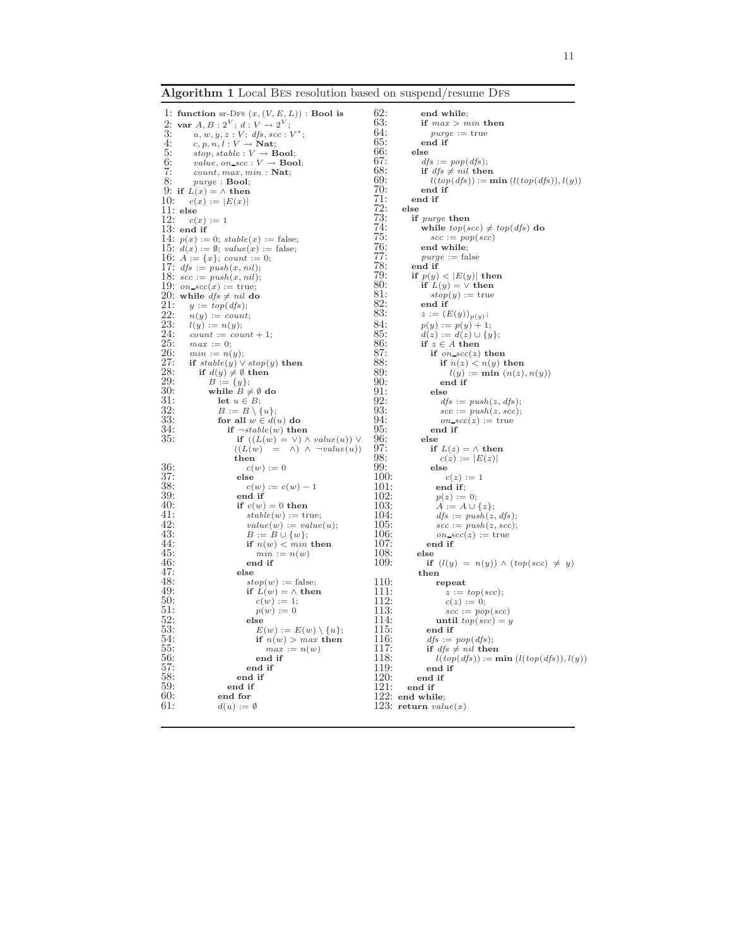|             | 1: function sr-DFs $(x, (V, E, L))$ : Bool is   | 62:  | end while;                                           |
|-------------|-------------------------------------------------|------|------------------------------------------------------|
|             | 2: var $A, B: 2^V$ ; $d: V \to 2^V$ ;           | 63:  | if $max > min$ then                                  |
| 3:          | $u, w, y, z: V; dfs, scc: V^*;$                 | 64:  | $pure := true$                                       |
| 4:          | $c, p, n, l: V \rightarrow \mathbf{Nat};$       | 65:  | end if                                               |
| 5:          |                                                 | 66:  | else                                                 |
|             | $stop, stable: V \rightarrow \textbf{Bool};$    | 67:  |                                                      |
| 6:          | value, on_scc : $V \rightarrow$ Bool;           |      | $dfs := pop(dfs);$                                   |
| 7:          | count, max, min : Nat;                          | 68:  | if $dfs \neq nil$ then                               |
| 8:          | $pure : \textbf{Bool};$                         | 69:  | $l(top(dfs)) := \min(l(top(dfs)), l(y))$             |
|             | 9: if $L(x) = \wedge$ then                      | 70:  | end if                                               |
| 10:         | $c(x) :=  E(x) $                                | 71:  | end if                                               |
|             | $11:$ else                                      | 72:  | else                                                 |
| 12:         | $c(x) := 1$                                     | 73:  | if purge then                                        |
|             | $13:$ end if                                    | 74:  | while $top(scc) \neq top(dfs)$ do                    |
|             | 14: $p(x) := 0$ ; $stable(x) := false$ ;        | 75:  | $\mathit{scc} := \mathit{pop}(\mathit{scc})$         |
|             | 15: $d(x) := \emptyset$ ; $value(x) := false$ ; | 76:  | end while;                                           |
|             |                                                 | 77:  | $pure := false$                                      |
|             | 16: $A := \{x\}$ ; count := 0;                  | 78:  |                                                      |
|             | 17: $dfs := push(x, nil);$                      | 79:  | end if                                               |
|             | 18: $scc := push(x, nil);$                      |      | if $p(y)$ $\langle$ $ E(y) $ then                    |
|             | 19: $on\_sec(x) := true;$                       | 80:  | if $L(y) = \vee$ then                                |
|             | 20: while $\text{dfs} \neq \text{nil}$ do       | 81:  | $stop(y) := true$                                    |
| 21:         | $y := top(dfs);$                                | 82:  | end if                                               |
| 22:         | $n(y) := count;$                                | 83:  | $z := (E(y))_{p(y)};$                                |
| 23:         | $l(y) := n(y);$                                 | 84:  | $p(y) := p(y) + 1;$                                  |
| 24:         |                                                 | 85:  |                                                      |
|             | $count := count + 1;$                           |      | $d(z) := d(z) \cup \{y\};$                           |
| 25:         | $max := 0;$                                     | 86:  | if $z \in A$ then                                    |
| 26:         | $min := n(y);$                                  | 87:  | if on $scc(z)$ then                                  |
| 27:         | if $stable(y) \vee stop(y)$ then                | 88:  | if $n(z) < n(y)$ then                                |
| $\bar{2}8:$ | if $d(y) \neq \emptyset$ then                   | 89:  | $l(y) := \min(n(z), n(y))$                           |
| 29:         | $B := \{y\};$                                   | 90:  | end if                                               |
| 30:         | while $B \neq \emptyset$ do                     | 91:  | else                                                 |
| 31:         | let $u \in B$ ;                                 | 92:  | $dfs := push(z, dfs);$                               |
| 32:         | $B := B \setminus \{u\};$                       | 93:  | $scc := push(z, scc);$                               |
| 33:         | for all $w \in d(u)$ do                         | 94:  |                                                      |
|             |                                                 | 95:  | $on\_scc(z) := \text{true}$                          |
| 34:         | if $\neg stable(w)$ then                        |      | end if                                               |
| 35:         | if $((L(w) = \vee) \wedge value(u)) \vee$       | 96:  | else                                                 |
|             | $((L(w) = \wedge) \wedge \neg value(u))$        | 97:  | if $L(z) = \wedge$ then                              |
|             | then                                            | 98:  | $c(z) :=  E(z) $                                     |
| 36:         | $c(w) := 0$                                     | 99:  | else                                                 |
| 37:         | else                                            | 100: | $c(z) := 1$                                          |
| 38:         | $c(w) := c(w) - 1$                              | 101: | end if;                                              |
| 39:         | end if                                          | 102: | $p(z) := 0;$                                         |
| 40:         | if $c(w) = 0$ then                              | 103: | $A := A \cup \{z\};$                                 |
| 41:         |                                                 | 104: |                                                      |
|             | $stable(w) := true;$                            |      | $dfs := push(z, dfs);$                               |
| 42:         | $value(w) := value(u);$                         | 105: | $\mathit{scc} := \mathit{push}(z, \mathit{scc});$    |
| 43:         | $B := B \cup \{w\};$                            | 106: |                                                      |
| 44:         | if $n(w) < min$ then                            | 107: | end if                                               |
| 45:         | $min := n(w)$                                   | 108: | else                                                 |
| 46:         | end if                                          | 109: | if $(l(y) = n(y)) \wedge (top(scc) \neq y)$          |
| 47:         | else                                            |      | then                                                 |
| 48:         | $stop(w) := false;$                             | 110: | repeat                                               |
| 49:         | if $L(w) = \wedge$ then                         | 111: | $z := top(scc);$                                     |
| 50:         | $c(w) := 1;$                                    | 112: |                                                      |
| 51:         |                                                 |      | $c(z) := 0;$                                         |
|             | $p(w) := 0$                                     | 113: | $\mathit{scc} := \mathit{pop}(\mathit{scc})$         |
| 52:         | else                                            | 114: | until $top(scc) = y$                                 |
| 53:         | $E(w) := E(w) \setminus \{u\};$                 | 115: | end if                                               |
| 54:         | if $n(w) > max$ then                            | 116: | $dfs := pop(dfs);$                                   |
| 55:         | $max := n(w)$                                   | 117: | if $dfs \neq nil$ then                               |
| 56:         | end if                                          | 118: | $l(t \circ p(dfs)) := \min(l(t \circ p(dfs)), l(y))$ |
| 57:         | end if                                          | 119: | end if                                               |
| 58:         | end if                                          | 120: | end if                                               |
| 59:         | end if                                          | 121: | end if                                               |
| 60:         | end for                                         |      | $122:$ end while:                                    |
|             |                                                 |      |                                                      |
| 61:         | $d(u) := \emptyset$                             |      | 123: return $value(x)$                               |

Algorithm 1 Local BES resolution based on suspend/resume DFS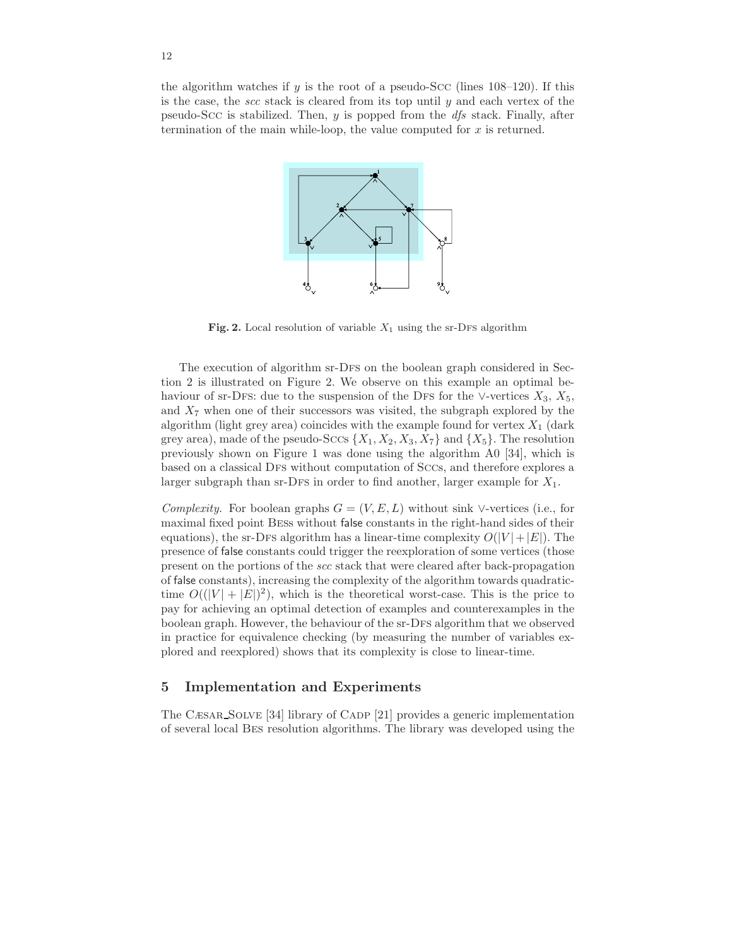the algorithm watches if  $y$  is the root of a pseudo-Scc (lines 108–120). If this is the case, the *scc* stack is cleared from its top until y and each vertex of the pseudo-Scc is stabilized. Then, y is popped from the *dfs* stack. Finally, after termination of the main while-loop, the value computed for  $x$  is returned.



**Fig. 2.** Local resolution of variable  $X_1$  using the sr-DFs algorithm

The execution of algorithm sr-DFS on the boolean graph considered in Section 2 is illustrated on Figure 2. We observe on this example an optimal behaviour of sr-DFs: due to the suspension of the DFs for the ∨-vertices  $X_3, X_5$ , and  $X_7$  when one of their successors was visited, the subgraph explored by the algorithm (light grey area) coincides with the example found for vertex  $X_1$  (dark grey area), made of the pseudo-Sccs  $\{X_1, X_2, X_3, X_7\}$  and  $\{X_5\}$ . The resolution previously shown on Figure 1 was done using the algorithm A0 [34], which is based on a classical DFS without computation of Sccs, and therefore explores a larger subgraph than sr-DFs in order to find another, larger example for  $X_1$ .

*Complexity.* For boolean graphs  $G = (V, E, L)$  without sink ∨-vertices (i.e., for maximal fixed point Bess without false constants in the right-hand sides of their equations), the sr-DFs algorithm has a linear-time complexity  $O(|V| + |E|)$ . The presence of false constants could trigger the reexploration of some vertices (those present on the portions of the *scc* stack that were cleared after back-propagation of false constants), increasing the complexity of the algorithm towards quadratictime  $O((|V| + |E|)^2)$ , which is the theoretical worst-case. This is the price to pay for achieving an optimal detection of examples and counterexamples in the boolean graph. However, the behaviour of the sr-DFS algorithm that we observed in practice for equivalence checking (by measuring the number of variables explored and reexplored) shows that its complexity is close to linear-time.

## **5 Implementation and Experiments**

The CÆSAR\_SOLVE [34] library of CADP [21] provides a generic implementation of several local Bes resolution algorithms. The library was developed using the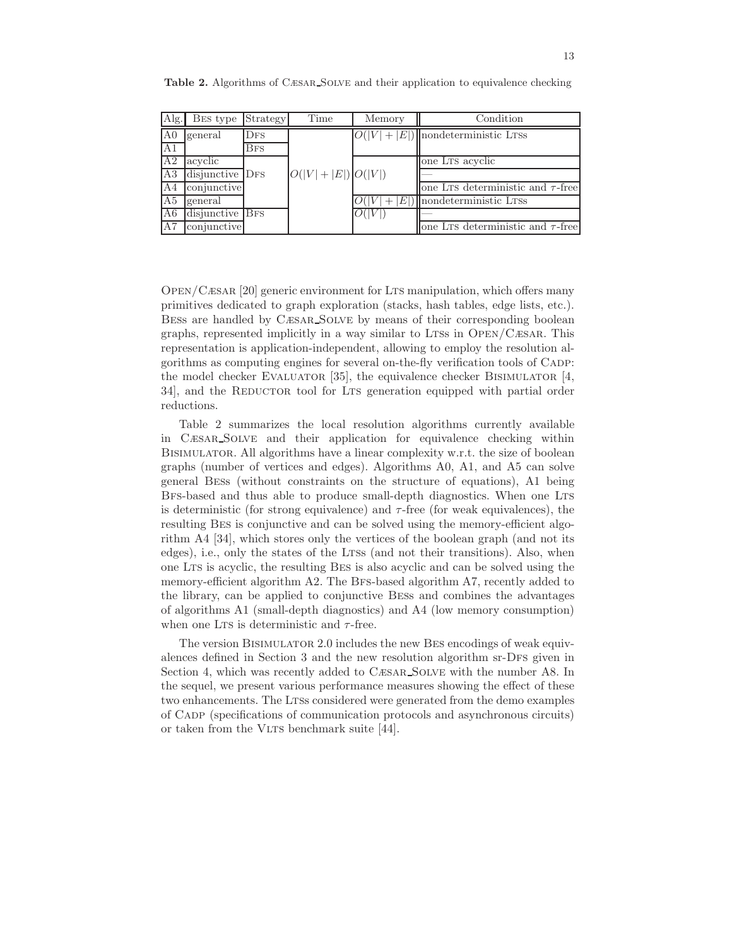| Alg.           | BES type        | Strategy     | Time                  | Memory | Condition                              |
|----------------|-----------------|--------------|-----------------------|--------|----------------------------------------|
| A <sub>0</sub> | general         | $_{\rm DFS}$ |                       |        | $ O( V + E )$ nondeterministic LTSs    |
| A <sub>1</sub> |                 | <b>BFS</b>   |                       |        |                                        |
| A2             | acyclic         |              |                       |        | one LTS acyclic                        |
| A3             | disjunctive DFS |              | $O( V  +  E ) O( V )$ |        |                                        |
| A4             | conjunctive     |              |                       |        | one LTs deterministic and $\tau$ -free |
| A5             | general         |              |                       |        | $+ E $ ) nondeterministic LTSs         |
| A6             | disjunctive BFS |              |                       | O( V ) |                                        |
| A7             | conjunctive     |              |                       |        | one LTs deterministic and $\tau$ -free |

**Table 2.** Algorithms of CÆSAR\_SOLVE and their application to equivalence checking

 $OPEN/CESAR$  [20] generic environment for LTS manipulation, which offers many primitives dedicated to graph exploration (stacks, hash tables, edge lists, etc.). Bess are handled by Cæsar Solve by means of their corresponding boolean graphs, represented implicitly in a way similar to LTSs in  $\text{OPEN}/\text{C}$  example. representation is application-independent, allowing to employ the resolution algorithms as computing engines for several on-the-fly verification tools of CADP: the model checker EVALUATOR  $[35]$ , the equivalence checker BISIMULATOR  $[4,$ 34, and the REDUCTOR tool for LTS generation equipped with partial order reductions.

Table 2 summarizes the local resolution algorithms currently available in Cæsar Solve and their application for equivalence checking within BISIMULATOR. All algorithms have a linear complexity w.r.t. the size of boolean graphs (number of vertices and edges). Algorithms A0, A1, and A5 can solve general Bess (without constraints on the structure of equations), A1 being Bfs-based and thus able to produce small-depth diagnostics. When one Lts is deterministic (for strong equivalence) and  $\tau$ -free (for weak equivalences), the resulting Bes is conjunctive and can be solved using the memory-efficient algorithm A4 [34], which stores only the vertices of the boolean graph (and not its edges), i.e., only the states of the LTSs (and not their transitions). Also, when one Lts is acyclic, the resulting Bes is also acyclic and can be solved using the memory-efficient algorithm A2. The BFS-based algorithm A7, recently added to the library, can be applied to conjunctive Bess and combines the advantages of algorithms A1 (small-depth diagnostics) and A4 (low memory consumption) when one LTS is deterministic and  $\tau$ -free.

The version Bisimulator 2.0 includes the new Bes encodings of weak equivalences defined in Section 3 and the new resolution algorithm sr-DFs given in Section 4, which was recently added to Cæsar Solve with the number A8. In the sequel, we present various performance measures showing the effect of these two enhancements. The Ltss considered were generated from the demo examples of Cadp (specifications of communication protocols and asynchronous circuits) or taken from the VLTS benchmark suite [44].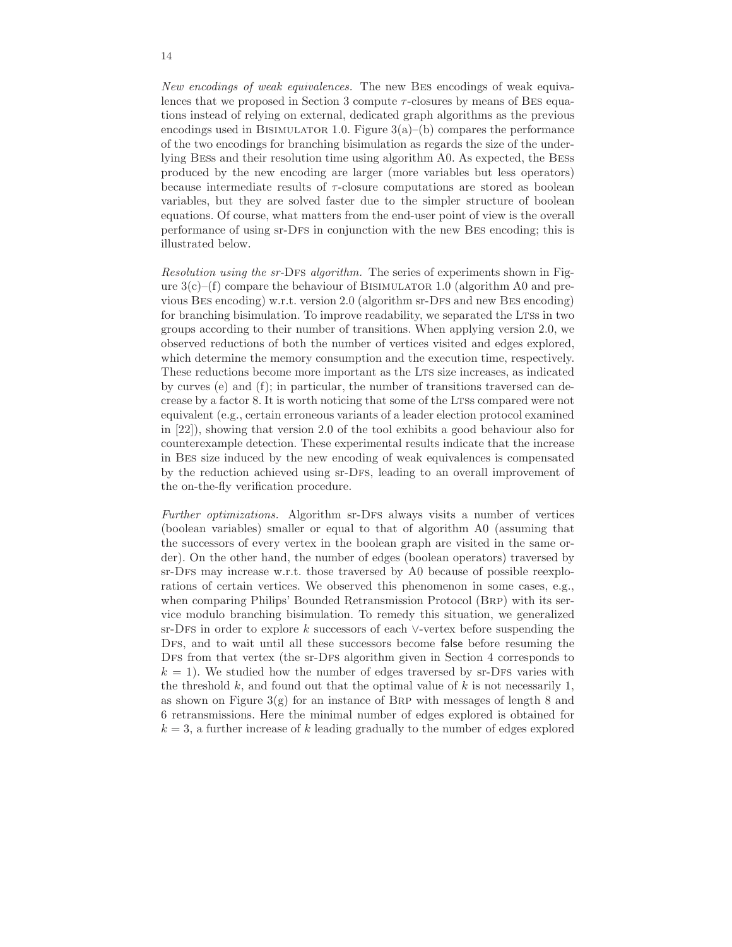*New encodings of weak equivalences.* The new Bes encodings of weak equivalences that we proposed in Section 3 compute  $\tau$ -closures by means of BES equations instead of relying on external, dedicated graph algorithms as the previous encodings used in BISIMULATOR 1.0. Figure  $3(a)$ –(b) compares the performance of the two encodings for branching bisimulation as regards the size of the underlying Bess and their resolution time using algorithm A0. As expected, the Bess produced by the new encoding are larger (more variables but less operators) because intermediate results of τ-closure computations are stored as boolean variables, but they are solved faster due to the simpler structure of boolean equations. Of course, what matters from the end-user point of view is the overall performance of using sr-Dfs in conjunction with the new Bes encoding; this is illustrated below.

*Resolution using the sr-DFS algorithm.* The series of experiments shown in Figure  $3(c)$ –(f) compare the behaviour of BISIMULATOR 1.0 (algorithm A0 and previous BES encoding) w.r.t. version 2.0 (algorithm sr-DFS and new BES encoding) for branching bisimulation. To improve readability, we separated the LTSs in two groups according to their number of transitions. When applying version 2.0, we observed reductions of both the number of vertices visited and edges explored, which determine the memory consumption and the execution time, respectively. These reductions become more important as the LTS size increases, as indicated by curves (e) and (f); in particular, the number of transitions traversed can decrease by a factor 8. It is worth noticing that some of the LTSs compared were not equivalent (e.g., certain erroneous variants of a leader election protocol examined in [22]), showing that version 2.0 of the tool exhibits a good behaviour also for counterexample detection. These experimental results indicate that the increase in Bes size induced by the new encoding of weak equivalences is compensated by the reduction achieved using sr-DFS, leading to an overall improvement of the on-the-fly verification procedure.

*Further optimizations.* Algorithm sr-DFS always visits a number of vertices (boolean variables) smaller or equal to that of algorithm A0 (assuming that the successors of every vertex in the boolean graph are visited in the same order). On the other hand, the number of edges (boolean operators) traversed by sr-DFS may increase w.r.t. those traversed by A0 because of possible reexplorations of certain vertices. We observed this phenomenon in some cases, e.g., when comparing Philips' Bounded Retransmission Protocol (BRP) with its service modulo branching bisimulation. To remedy this situation, we generalized sr-DFS in order to explore k successors of each  $\vee$ -vertex before suspending the DFS, and to wait until all these successors become false before resuming the DFS from that vertex (the sr-DFS algorithm given in Section 4 corresponds to  $k = 1$ ). We studied how the number of edges traversed by sr-DFS varies with the threshold  $k$ , and found out that the optimal value of  $k$  is not necessarily 1, as shown on Figure  $3(g)$  for an instance of BRP with messages of length 8 and 6 retransmissions. Here the minimal number of edges explored is obtained for  $k = 3$ , a further increase of k leading gradually to the number of edges explored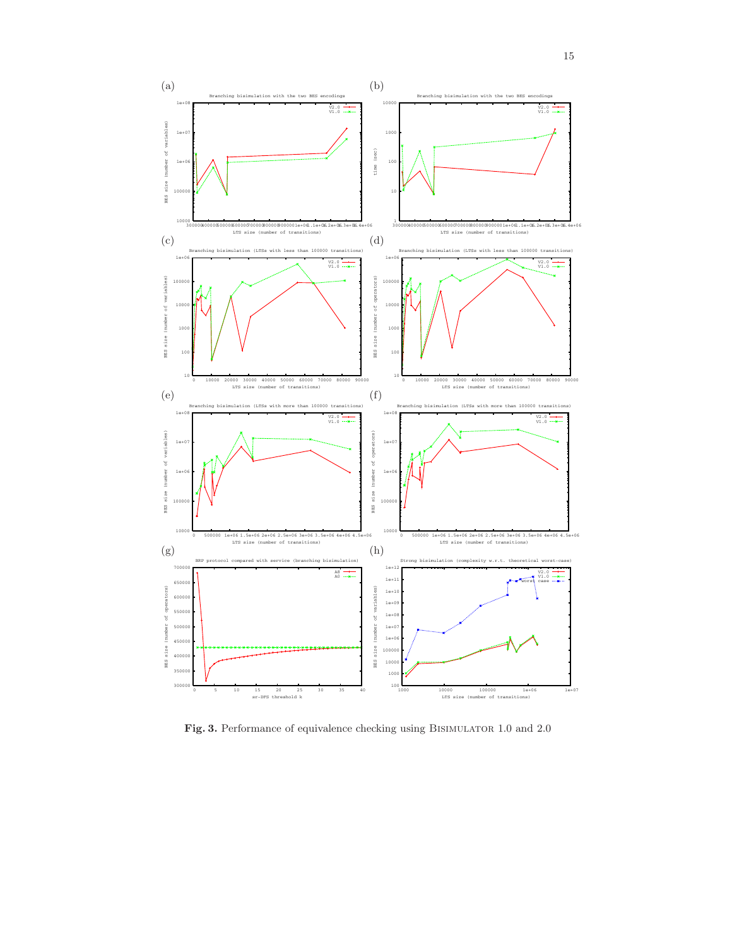



(a)

10000

 $1e+$ 

 10000 100000

100000

 $1e+0$ 

BES size (number of variables)

BES size (number of variables)

(c)

j

 $1e+0$ 

 $1e+0$ 

Branching bisimulation with the

Fig. 3. Performance of equivalence checking using BISIMULATOR 1.0 and 2.0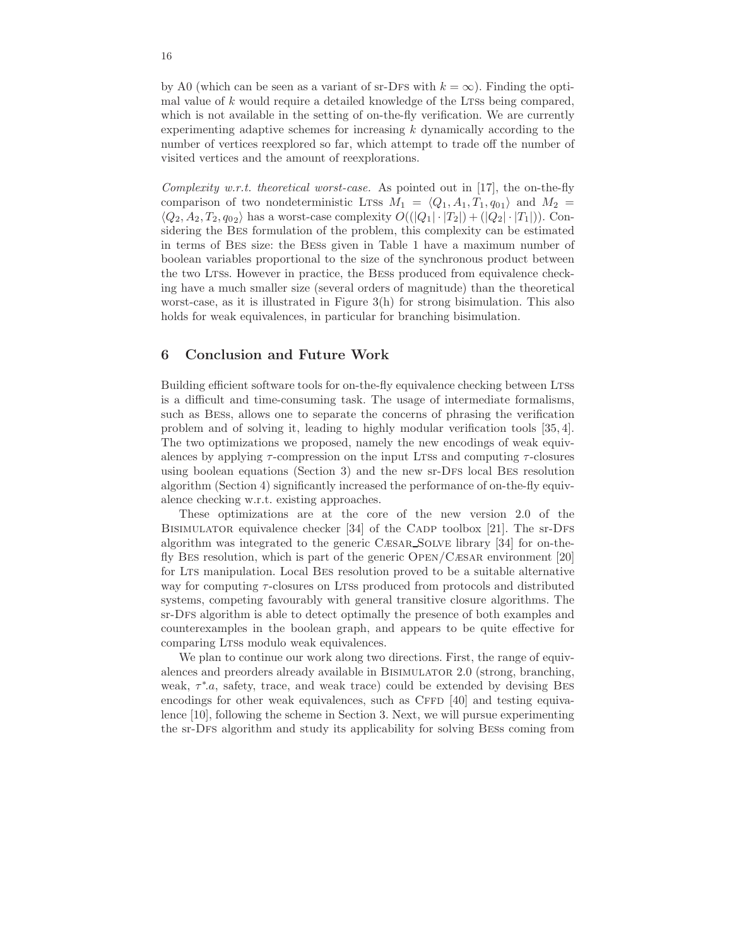by A0 (which can be seen as a variant of sr-DFs with  $k = \infty$ ). Finding the optimal value of  $k$  would require a detailed knowledge of the LTSs being compared, which is not available in the setting of on-the-fly verification. We are currently experimenting adaptive schemes for increasing  $k$  dynamically according to the number of vertices reexplored so far, which attempt to trade off the number of visited vertices and the amount of reexplorations.

*Complexity w.r.t. theoretical worst-case.* As pointed out in [17], the on-the-fly comparison of two nondeterministic LTSs  $M_1 = \langle Q_1, A_1, T_1, q_{01} \rangle$  and  $M_2 =$  $\langle Q_2, A_2, T_2, q_{02} \rangle$  has a worst-case complexity  $O((|Q_1| \cdot |T_2|) + (|Q_2| \cdot |T_1|)).$  Considering the Bes formulation of the problem, this complexity can be estimated in terms of Bes size: the Bess given in Table 1 have a maximum number of boolean variables proportional to the size of the synchronous product between the two LTSs. However in practice, the BESS produced from equivalence checking have a much smaller size (several orders of magnitude) than the theoretical worst-case, as it is illustrated in Figure 3(h) for strong bisimulation. This also holds for weak equivalences, in particular for branching bisimulation.

## **6 Conclusion and Future Work**

Building efficient software tools for on-the-fly equivalence checking between LTSs is a difficult and time-consuming task. The usage of intermediate formalisms, such as Bess, allows one to separate the concerns of phrasing the verification problem and of solving it, leading to highly modular verification tools [35, 4]. The two optimizations we proposed, namely the new encodings of weak equivalences by applying  $\tau$ -compression on the input LTSs and computing  $\tau$ -closures using boolean equations (Section 3) and the new sr-DFS local BES resolution algorithm (Section 4) significantly increased the performance of on-the-fly equivalence checking w.r.t. existing approaches.

These optimizations are at the core of the new version 2.0 of the BISIMULATOR equivalence checker [34] of the CADP toolbox [21]. The sr-DFS algorithm was integrated to the generic Cæsar Solve library [34] for on-thefly Bes resolution, which is part of the generic Open/Cæsar environment [20] for Lts manipulation. Local Bes resolution proved to be a suitable alternative way for computing  $\tau$ -closures on LTSs produced from protocols and distributed systems, competing favourably with general transitive closure algorithms. The sr-Dfs algorithm is able to detect optimally the presence of both examples and counterexamples in the boolean graph, and appears to be quite effective for comparing LTSs modulo weak equivalences.

We plan to continue our work along two directions. First, the range of equivalences and preorders already available in Bisimulator 2.0 (strong, branching, weak,  $\tau^* a$ , safety, trace, and weak trace) could be extended by devising BES encodings for other weak equivalences, such as  $CFFD$  [40] and testing equivalence [10], following the scheme in Section 3. Next, we will pursue experimenting the sr-Dfs algorithm and study its applicability for solving Bess coming from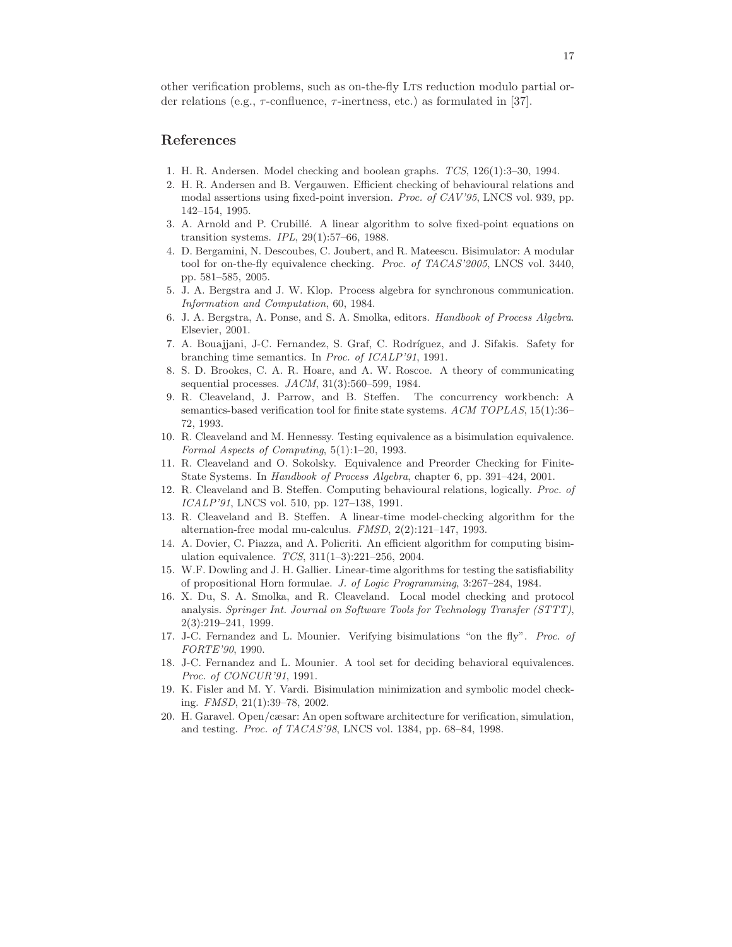other verification problems, such as on-the-fly LTS reduction modulo partial order relations (e.g.,  $\tau$ -confluence,  $\tau$ -inertness, etc.) as formulated in [37].

## **References**

- 1. H. R. Andersen. Model checking and boolean graphs. *TCS*, 126(1):3–30, 1994.
- 2. H. R. Andersen and B. Vergauwen. Efficient checking of behavioural relations and modal assertions using fixed-point inversion. *Proc. of CAV'95*, LNCS vol. 939, pp. 142–154, 1995.
- 3. A. Arnold and P. Crubillé. A linear algorithm to solve fixed-point equations on transition systems. *IPL*, 29(1):57–66, 1988.
- 4. D. Bergamini, N. Descoubes, C. Joubert, and R. Mateescu. Bisimulator: A modular tool for on-the-fly equivalence checking. *Proc. of TACAS'2005*, LNCS vol. 3440, pp. 581–585, 2005.
- 5. J. A. Bergstra and J. W. Klop. Process algebra for synchronous communication. *Information and Computation*, 60, 1984.
- 6. J. A. Bergstra, A. Ponse, and S. A. Smolka, editors. *Handbook of Process Algebra*. Elsevier, 2001.
- 7. A. Bouajjani, J-C. Fernandez, S. Graf, C. Rodr´ıguez, and J. Sifakis. Safety for branching time semantics. In *Proc. of ICALP'91*, 1991.
- 8. S. D. Brookes, C. A. R. Hoare, and A. W. Roscoe. A theory of communicating sequential processes. *JACM*, 31(3):560–599, 1984.
- 9. R. Cleaveland, J. Parrow, and B. Steffen. The concurrency workbench: A semantics-based verification tool for finite state systems. *ACM TOPLAS*, 15(1):36– 72, 1993.
- 10. R. Cleaveland and M. Hennessy. Testing equivalence as a bisimulation equivalence. *Formal Aspects of Computing*, 5(1):1–20, 1993.
- 11. R. Cleaveland and O. Sokolsky. Equivalence and Preorder Checking for Finite-State Systems. In *Handbook of Process Algebra*, chapter 6, pp. 391–424, 2001.
- 12. R. Cleaveland and B. Steffen. Computing behavioural relations, logically. *Proc. of ICALP'91*, LNCS vol. 510, pp. 127–138, 1991.
- 13. R. Cleaveland and B. Steffen. A linear-time model-checking algorithm for the alternation-free modal mu-calculus. *FMSD*, 2(2):121–147, 1993.
- 14. A. Dovier, C. Piazza, and A. Policriti. An efficient algorithm for computing bisimulation equivalence. *TCS*, 311(1–3):221–256, 2004.
- 15. W.F. Dowling and J. H. Gallier. Linear-time algorithms for testing the satisfiability of propositional Horn formulae. *J. of Logic Programming*, 3:267–284, 1984.
- 16. X. Du, S. A. Smolka, and R. Cleaveland. Local model checking and protocol analysis. *Springer Int. Journal on Software Tools for Technology Transfer (STTT)*, 2(3):219–241, 1999.
- 17. J-C. Fernandez and L. Mounier. Verifying bisimulations "on the fly". *Proc. of FORTE'90*, 1990.
- 18. J-C. Fernandez and L. Mounier. A tool set for deciding behavioral equivalences. *Proc. of CONCUR'91*, 1991.
- 19. K. Fisler and M. Y. Vardi. Bisimulation minimization and symbolic model checking. *FMSD*, 21(1):39–78, 2002.
- 20. H. Garavel. Open/cæsar: An open software architecture for verification, simulation, and testing. *Proc. of TACAS'98*, LNCS vol. 1384, pp. 68–84, 1998.